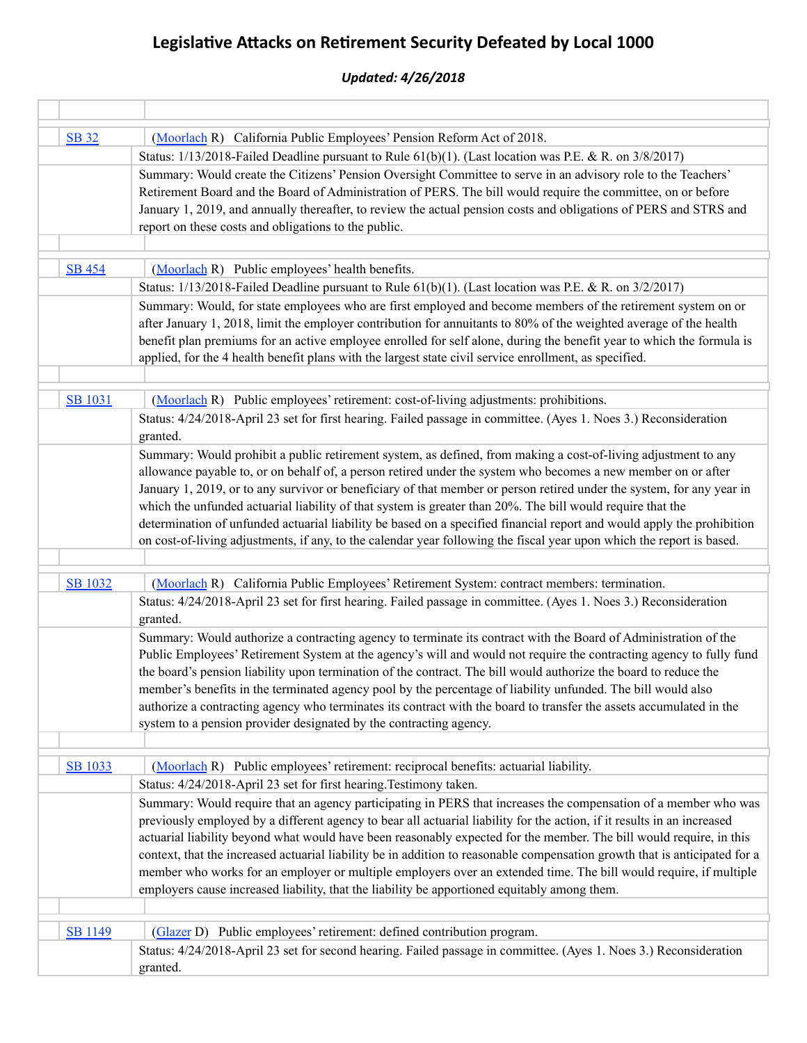## Legislative Attacks on Retirement Security Defeated by Local 1000

## *Updated: 4/26/2018*

| <b>SB</b> 32   | (Moorlach R) California Public Employees' Pension Reform Act of 2018.                                                      |
|----------------|----------------------------------------------------------------------------------------------------------------------------|
|                | Status: $1/13/2018$ -Failed Deadline pursuant to Rule 61(b)(1). (Last location was P.E. & R. on 3/8/2017)                  |
|                | Summary: Would create the Citizens' Pension Oversight Committee to serve in an advisory role to the Teachers'              |
|                | Retirement Board and the Board of Administration of PERS. The bill would require the committee, on or before               |
|                | January 1, 2019, and annually thereafter, to review the actual pension costs and obligations of PERS and STRS and          |
|                | report on these costs and obligations to the public.                                                                       |
| <b>SB 454</b>  | (Moorlach R) Public employees' health benefits.                                                                            |
|                | Status: $1/13/2018$ -Failed Deadline pursuant to Rule 61(b)(1). (Last location was P.E. & R. on 3/2/2017)                  |
|                | Summary: Would, for state employees who are first employed and become members of the retirement system on or               |
|                | after January 1, 2018, limit the employer contribution for annuitants to 80% of the weighted average of the health         |
|                | benefit plan premiums for an active employee enrolled for self alone, during the benefit year to which the formula is      |
|                | applied, for the 4 health benefit plans with the largest state civil service enrollment, as specified.                     |
|                |                                                                                                                            |
| <b>SB 1031</b> | (Moorlach R) Public employees' retirement: cost-of-living adjustments: prohibitions.                                       |
|                | Status: 4/24/2018-April 23 set for first hearing. Failed passage in committee. (Ayes 1. Noes 3.) Reconsideration           |
|                | granted.                                                                                                                   |
|                | Summary: Would prohibit a public retirement system, as defined, from making a cost-of-living adjustment to any             |
|                | allowance payable to, or on behalf of, a person retired under the system who becomes a new member on or after              |
|                | January 1, 2019, or to any survivor or beneficiary of that member or person retired under the system, for any year in      |
|                | which the unfunded actuarial liability of that system is greater than 20%. The bill would require that the                 |
|                | determination of unfunded actuarial liability be based on a specified financial report and would apply the prohibition     |
|                | on cost-of-living adjustments, if any, to the calendar year following the fiscal year upon which the report is based.      |
|                |                                                                                                                            |
| <b>SB 1032</b> | (Moorlach R) California Public Employees' Retirement System: contract members: termination.                                |
|                | Status: 4/24/2018-April 23 set for first hearing. Failed passage in committee. (Ayes 1. Noes 3.) Reconsideration           |
|                | granted.                                                                                                                   |
|                | Summary: Would authorize a contracting agency to terminate its contract with the Board of Administration of the            |
|                | Public Employees' Retirement System at the agency's will and would not require the contracting agency to fully fund        |
|                | the board's pension liability upon termination of the contract. The bill would authorize the board to reduce the           |
|                | member's benefits in the terminated agency pool by the percentage of liability unfunded. The bill would also               |
|                | authorize a contracting agency who terminates its contract with the board to transfer the assets accumulated in the        |
|                | system to a pension provider designated by the contracting agency.                                                         |
|                |                                                                                                                            |
| SB 1033        | (Moorlach R) Public employees' retirement: reciprocal benefits: actuarial liability.                                       |
|                | Status: 4/24/2018-April 23 set for first hearing. Testimony taken.                                                         |
|                | Summary: Would require that an agency participating in PERS that increases the compensation of a member who was            |
|                | previously employed by a different agency to bear all actuarial liability for the action, if it results in an increased    |
|                | actuarial liability beyond what would have been reasonably expected for the member. The bill would require, in this        |
|                | context, that the increased actuarial liability be in addition to reasonable compensation growth that is anticipated for a |
|                | member who works for an employer or multiple employers over an extended time. The bill would require, if multiple          |
|                | employers cause increased liability, that the liability be apportioned equitably among them.                               |
|                |                                                                                                                            |
| <b>SB 1149</b> | (Glazer D) Public employees' retirement: defined contribution program.                                                     |
|                | Status: 4/24/2018-April 23 set for second hearing. Failed passage in committee. (Ayes 1. Noes 3.) Reconsideration          |
|                | granted.                                                                                                                   |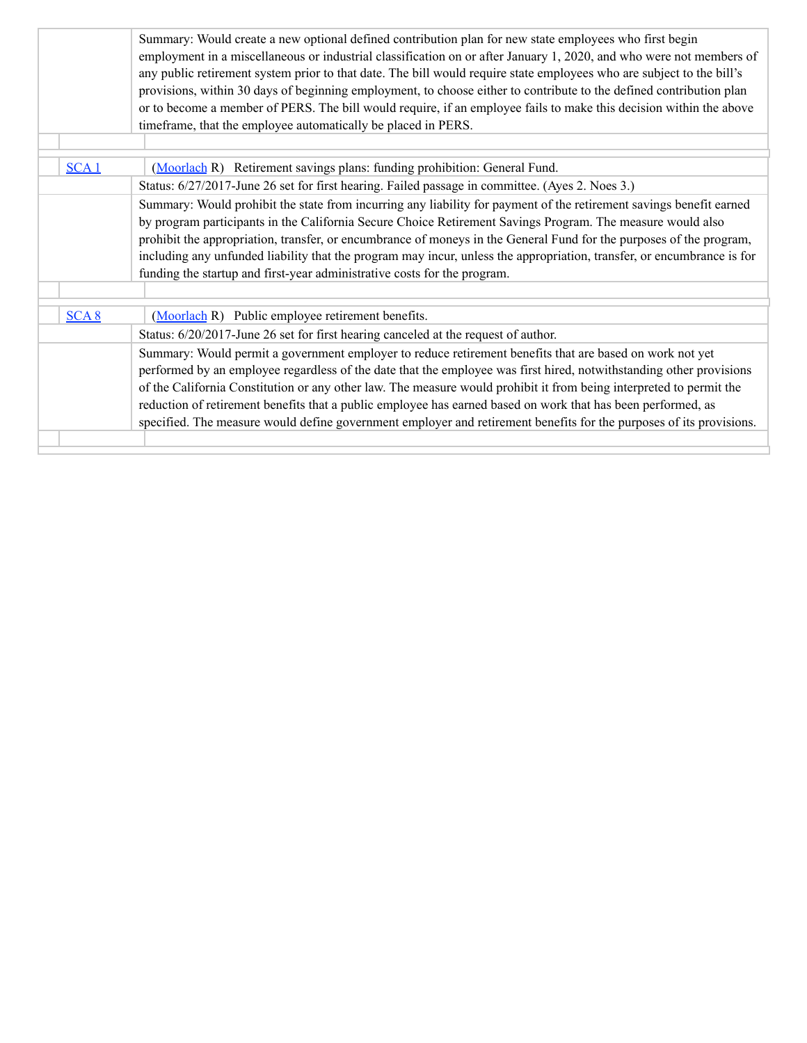|      | Summary: Would create a new optional defined contribution plan for new state employees who first begin<br>employment in a miscellaneous or industrial classification on or after January 1, 2020, and who were not members of<br>any public retirement system prior to that date. The bill would require state employees who are subject to the bill's<br>provisions, within 30 days of beginning employment, to choose either to contribute to the defined contribution plan<br>or to become a member of PERS. The bill would require, if an employee fails to make this decision within the above |
|------|-----------------------------------------------------------------------------------------------------------------------------------------------------------------------------------------------------------------------------------------------------------------------------------------------------------------------------------------------------------------------------------------------------------------------------------------------------------------------------------------------------------------------------------------------------------------------------------------------------|
|      | timeframe, that the employee automatically be placed in PERS.                                                                                                                                                                                                                                                                                                                                                                                                                                                                                                                                       |
|      |                                                                                                                                                                                                                                                                                                                                                                                                                                                                                                                                                                                                     |
| SCA1 | (Moorlach R) Retirement savings plans: funding prohibition: General Fund.                                                                                                                                                                                                                                                                                                                                                                                                                                                                                                                           |
|      | Status: 6/27/2017-June 26 set for first hearing. Failed passage in committee. (Ayes 2. Noes 3.)                                                                                                                                                                                                                                                                                                                                                                                                                                                                                                     |
|      | Summary: Would prohibit the state from incurring any liability for payment of the retirement savings benefit earned<br>by program participants in the California Secure Choice Retirement Savings Program. The measure would also<br>prohibit the appropriation, transfer, or encumbrance of moneys in the General Fund for the purposes of the program,<br>including any unfunded liability that the program may incur, unless the appropriation, transfer, or encumbrance is for<br>funding the startup and first-year administrative costs for the program.                                      |
| SCA8 | (Moorlach R) Public employee retirement benefits.                                                                                                                                                                                                                                                                                                                                                                                                                                                                                                                                                   |
|      | Status: 6/20/2017-June 26 set for first hearing canceled at the request of author.                                                                                                                                                                                                                                                                                                                                                                                                                                                                                                                  |
|      | Summary: Would permit a government employer to reduce retirement benefits that are based on work not yet<br>performed by an employee regardless of the date that the employee was first hired, notwithstanding other provisions<br>of the California Constitution or any other law. The measure would prohibit it from being interpreted to permit the<br>reduction of retirement benefits that a public employee has earned based on work that has been performed, as<br>specified. The measure would define government employer and retirement benefits for the purposes of its provisions.       |